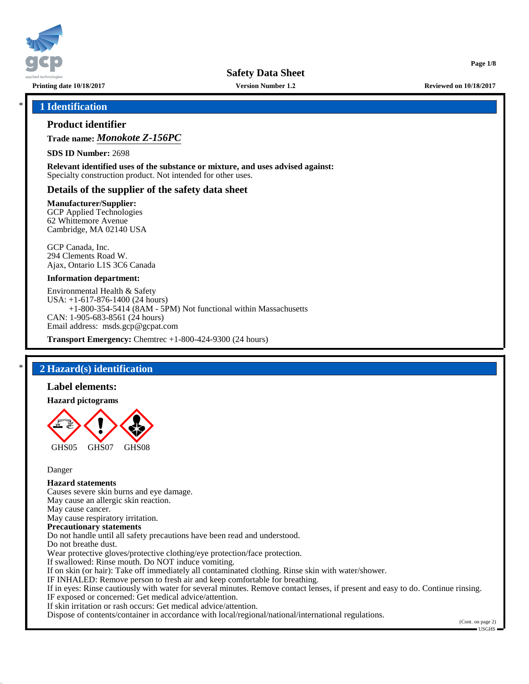

**Version Number 1.2**

**Printing date 10/18/2017 Reviewed on 10/18/2017**

**Page 1/8**

## \* **1 Identification**

# **Product identifier**

**Trade name:** *Monokote Z-156PC*

**SDS ID Number:** 2698

**Relevant identified uses of the substance or mixture, and uses advised against:** Specialty construction product. Not intended for other uses.

# **Details of the supplier of the safety data sheet**

#### **Manufacturer/Supplier:**

GCP Applied Technologies 62 Whittemore Avenue Cambridge, MA 02140 USA

GCP Canada, Inc. 294 Clements Road W. Ajax, Ontario L1S 3C6 Canada

#### **Information department:**

Environmental Health & Safety USA: +1-617-876-1400 (24 hours) +1-800-354-5414 (8AM - 5PM) Not functional within Massachusetts CAN: 1-905-683-8561 (24 hours) Email address: msds.gcp@gcpat.com

**Transport Emergency:** Chemtrec +1-800-424-9300 (24 hours)

# \* **2 Hazard(s) identification**

#### **Label elements:**

#### **Hazard pictograms**



Danger

# **Hazard statements**

Causes severe skin burns and eye damage. May cause an allergic skin reaction. May cause cancer. May cause respiratory irritation. **Precautionary statements** Do not handle until all safety precautions have been read and understood. Do not breathe dust. Wear protective gloves/protective clothing/eye protection/face protection. If swallowed: Rinse mouth. Do NOT induce vomiting. If on skin (or hair): Take off immediately all contaminated clothing. Rinse skin with water/shower. IF INHALED: Remove person to fresh air and keep comfortable for breathing. If in eyes: Rinse cautiously with water for several minutes. Remove contact lenses, if present and easy to do. Continue rinsing. IF exposed or concerned: Get medical advice/attention. If skin irritation or rash occurs: Get medical advice/attention.

Dispose of contents/container in accordance with local/regional/national/international regulations.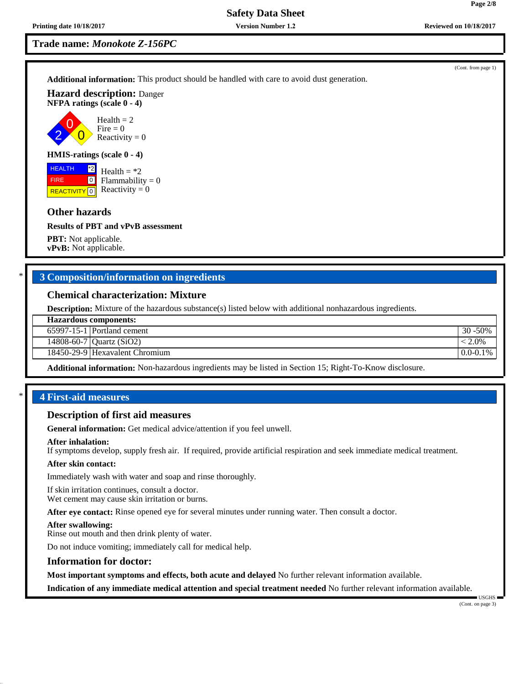**Page 2/8**

# **Trade name:** *Monokote Z-156PC*

**Additional information:** This product should be handled with care to avoid dust generation.

**Hazard description:** Danger **NFPA ratings (scale 0 - 4)**

2 0  $\overline{0}$  $Health = 2$ Fire  $= 0$ Reactivity  $= 0$ 

### **HMIS-ratings (scale 0 - 4)**

**REACTIVITY** 0 \*2  $\boxed{0}$ Health  $=$  \*2  $Flammability = 0$ Reactivity  $= 0$ 

#### **Other hazards**

**HEALTH** FIRE

#### **Results of PBT and vPvB assessment**

**PBT:** Not applicable. **vPvB:** Not applicable.

# \* **3 Composition/information on ingredients**

## **Chemical characterization: Mixture**

**Description:** Mixture of the hazardous substance(s) listed below with additional nonhazardous ingredients.

65997-15-1 Portland cement 30 -50%

14808-60-7 Quartz (SiO2) < 2.0%

18450-29-9 Hexavalent Chromium and the control of the control of the control of the control of the control of the control of the control of the control of the control of the control of the control of the control of the con

**Additional information:** Non-hazardous ingredients may be listed in Section 15; Right-To-Know disclosure.

### \* **4 First-aid measures**

## **Description of first aid measures**

**General information:** Get medical advice/attention if you feel unwell.

#### **After inhalation:**

If symptoms develop, supply fresh air. If required, provide artificial respiration and seek immediate medical treatment.

#### **After skin contact:**

Immediately wash with water and soap and rinse thoroughly.

If skin irritation continues, consult a doctor. Wet cement may cause skin irritation or burns.

**After eye contact:** Rinse opened eye for several minutes under running water. Then consult a doctor.

#### **After swallowing:**

Rinse out mouth and then drink plenty of water.

Do not induce vomiting; immediately call for medical help.

#### **Information for doctor:**

**Most important symptoms and effects, both acute and delayed** No further relevant information available.

**Indication of any immediate medical attention and special treatment needed** No further relevant information available.

USGHS

(Cont. from page 1)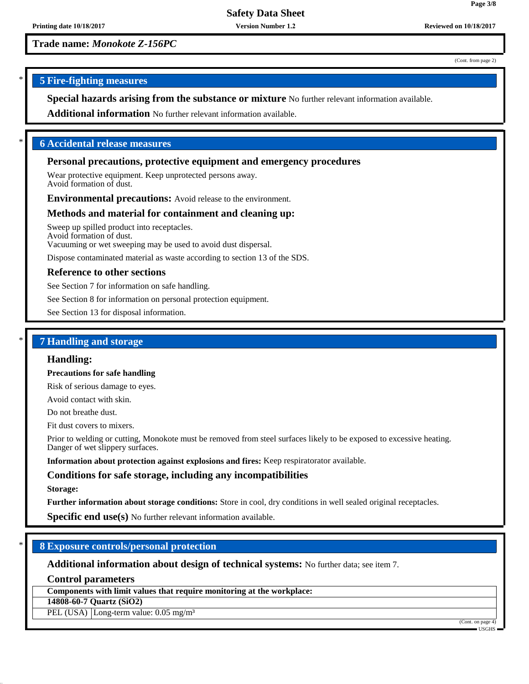**Version Number 1.2**

**Trade name:** *Monokote Z-156PC*

(Cont. from page 2)

**Page 3/8**

# \* **5 Fire-fighting measures**

**Special hazards arising from the substance or mixture** No further relevant information available.

**Additional information** No further relevant information available.

# \* **6 Accidental release measures**

# **Personal precautions, protective equipment and emergency procedures**

Wear protective equipment. Keep unprotected persons away. Avoid formation of dust.

**Environmental precautions:** Avoid release to the environment.

# **Methods and material for containment and cleaning up:**

Sweep up spilled product into receptacles. Avoid formation of dust. Vacuuming or wet sweeping may be used to avoid dust dispersal.

Dispose contaminated material as waste according to section 13 of the SDS.

# **Reference to other sections**

See Section 7 for information on safe handling.

See Section 8 for information on personal protection equipment.

See Section 13 for disposal information.

# \* **7 Handling and storage**

### **Handling:**

**Precautions for safe handling**

Risk of serious damage to eyes.

Avoid contact with skin.

Do not breathe dust.

Fit dust covers to mixers.

Prior to welding or cutting, Monokote must be removed from steel surfaces likely to be exposed to excessive heating. Danger of wet slippery surfaces.

**Information about protection against explosions and fires:** Keep respiratorator available.

# **Conditions for safe storage, including any incompatibilities**

#### **Storage:**

**Further information about storage conditions:** Store in cool, dry conditions in well sealed original receptacles.

**Specific end use(s)** No further relevant information available.

# \* **8 Exposure controls/personal protection**

**Additional information about design of technical systems:** No further data; see item 7.

**Control parameters**

**Components with limit values that require monitoring at the workplace:**

**14808-60-7 Quartz (SiO2)**

PEL (USA) Long-term value: 0.05 mg/m<sup>3</sup>

(Cont. on page 4)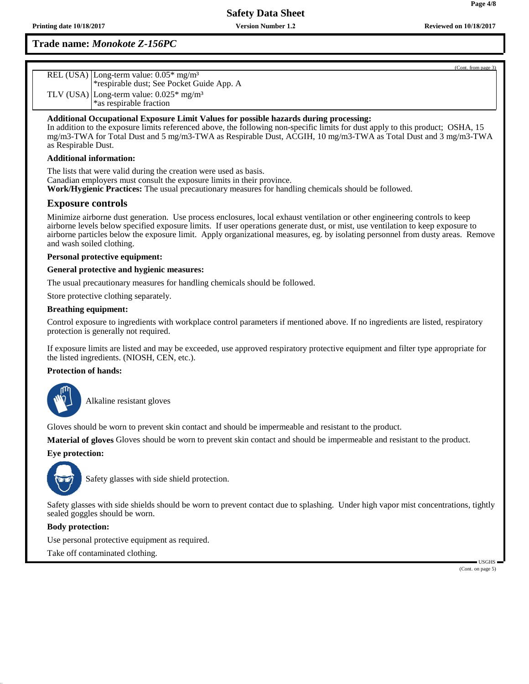# **Trade name:** *Monokote Z-156PC*

| REL (USA) Long-term value: 0.05* mg/m <sup>3</sup><br>*respirable dust; See Pocket Guide App. A |
|-------------------------------------------------------------------------------------------------|
| TLV (USA) Long-term value: $0.025*$ mg/m <sup>3</sup><br>*as respirable fraction                |
|                                                                                                 |

## **Additional Occupational Exposure Limit Values for possible hazards during processing:**

In addition to the exposure limits referenced above, the following non-specific limits for dust apply to this product; OSHA, 15 mg/m3-TWA for Total Dust and 5 mg/m3-TWA as Respirable Dust, ACGIH, 10 mg/m3-TWA as Total Dust and 3 mg/m3-TWA as Respirable Dust.

#### **Additional information:**

The lists that were valid during the creation were used as basis. Canadian employers must consult the exposure limits in their province. **Work/Hygienic Practices:** The usual precautionary measures for handling chemicals should be followed.

# **Exposure controls**

Minimize airborne dust generation. Use process enclosures, local exhaust ventilation or other engineering controls to keep airborne levels below specified exposure limits. If user operations generate dust, or mist, use ventilation to keep exposure to airborne particles below the exposure limit. Apply organizational measures, eg. by isolating personnel from dusty areas. Remove and wash soiled clothing.

### **Personal protective equipment:**

### **General protective and hygienic measures:**

The usual precautionary measures for handling chemicals should be followed.

Store protective clothing separately.

#### **Breathing equipment:**

Control exposure to ingredients with workplace control parameters if mentioned above. If no ingredients are listed, respiratory protection is generally not required.

If exposure limits are listed and may be exceeded, use approved respiratory protective equipment and filter type appropriate for the listed ingredients. (NIOSH, CEN, etc.).

## **Protection of hands:**



\_SAlkaline resistant gloves

Gloves should be worn to prevent skin contact and should be impermeable and resistant to the product.

**Material of gloves** Gloves should be worn to prevent skin contact and should be impermeable and resistant to the product.

### **Eye protection:**



Safety glasses with side shield protection.

Safety glasses with side shields should be worn to prevent contact due to splashing. Under high vapor mist concentrations, tightly sealed goggles should be worn.

### **Body protection:**

Use personal protective equipment as required.

Take off contaminated clothing.

 USGHS (Cont. on page 5)

(Cont. from page 3)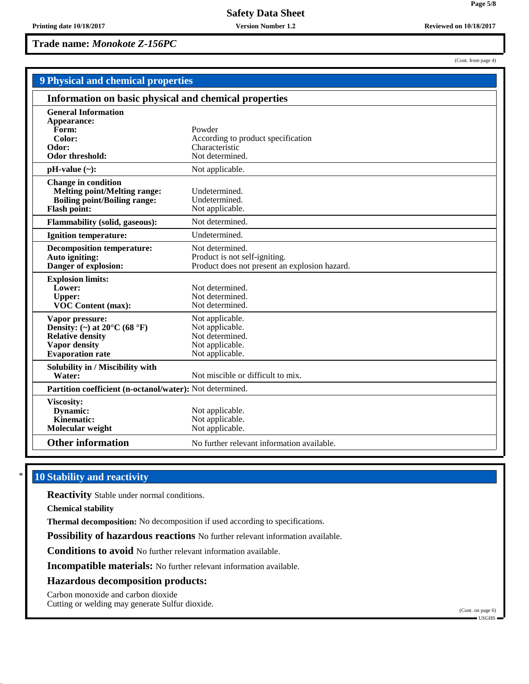**Version Number 1.2**

**Trade name:** *Monokote Z-156PC*

(Cont. from page 4)

**Page 5/8**

| 9 Physical and chemical properties                                                                                                                |                                                                                                   |  |  |
|---------------------------------------------------------------------------------------------------------------------------------------------------|---------------------------------------------------------------------------------------------------|--|--|
| Information on basic physical and chemical properties                                                                                             |                                                                                                   |  |  |
| <b>General Information</b><br>Appearance:<br>Form:<br>Color:<br>Odor:<br>Odor threshold:                                                          | Powder<br>According to product specification<br>Characteristic<br>Not determined.                 |  |  |
| $pH-value (\sim):$                                                                                                                                | Not applicable.                                                                                   |  |  |
| <b>Change in condition</b><br><b>Melting point/Melting range:</b><br><b>Boiling point/Boiling range:</b><br><b>Flash point:</b>                   | Undetermined.<br>Undetermined.<br>Not applicable.                                                 |  |  |
| <b>Flammability (solid, gaseous):</b>                                                                                                             | Not determined.                                                                                   |  |  |
| <b>Ignition temperature:</b>                                                                                                                      | Undetermined.                                                                                     |  |  |
| <b>Decomposition temperature:</b><br>Auto igniting:<br>Danger of explosion:                                                                       | Not determined.<br>Product is not self-igniting.<br>Product does not present an explosion hazard. |  |  |
| <b>Explosion limits:</b><br>Lower:<br><b>Upper:</b><br><b>VOC Content (max):</b>                                                                  | Not determined.<br>Not determined.<br>Not determined.                                             |  |  |
| Vapor pressure:<br>Density: (~) at $20^{\circ}$ C (68 $^{\circ}$ F)<br><b>Relative density</b><br><b>Vapor density</b><br><b>Evaporation</b> rate | Not applicable.<br>Not applicable.<br>Not determined.<br>Not applicable.<br>Not applicable.       |  |  |
| Solubility in / Miscibility with<br>Water:                                                                                                        | Not miscible or difficult to mix.                                                                 |  |  |
|                                                                                                                                                   | Partition coefficient (n-octanol/water): Not determined.                                          |  |  |
| Viscosity:<br>Dynamic:<br>Kinematic:<br>Molecular weight                                                                                          | Not applicable.<br>Not applicable.<br>Not applicable.                                             |  |  |
| <b>Other information</b>                                                                                                                          | No further relevant information available.                                                        |  |  |

# **10 Stability and reactivity**

**Reactivity** Stable under normal conditions.

**Chemical stability**

**Thermal decomposition:** No decomposition if used according to specifications.

**Possibility of hazardous reactions** No further relevant information available.

**Conditions to avoid** No further relevant information available.

**Incompatible materials:** No further relevant information available.

## **Hazardous decomposition products:**

Carbon monoxide and carbon dioxide

Cutting or welding may generate Sulfur dioxide.

(Cont. on page 6)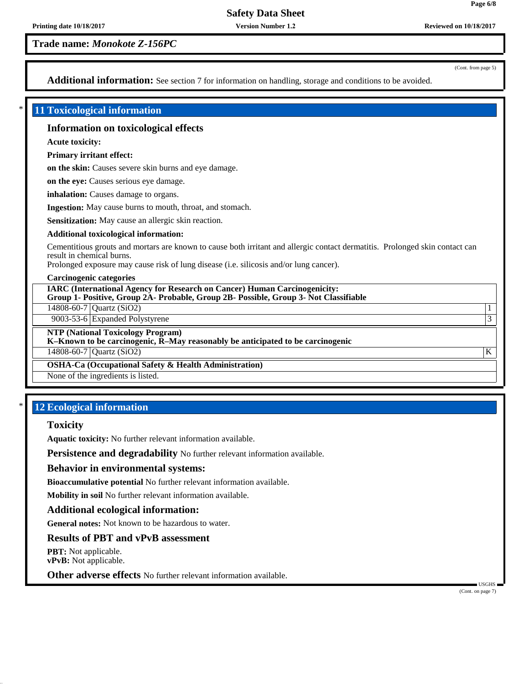**Version Number 1.2**

**Trade name:** *Monokote Z-156PC*

(Cont. from page 5)

**Page 6/8**

Additional information: See section 7 for information on handling, storage and conditions to be avoided.

## \* **11 Toxicological information**

## **Information on toxicological effects**

**Acute toxicity:**

**Primary irritant effect:**

**on the skin:** Causes severe skin burns and eye damage.

**on the eye:** Causes serious eye damage.

**inhalation:** Causes damage to organs.

**Ingestion:** May cause burns to mouth, throat, and stomach.

**Sensitization:** May cause an allergic skin reaction.

#### **Additional toxicological information:**

Cementitious grouts and mortars are known to cause both irritant and allergic contact dermatitis. Prolonged skin contact can result in chemical burns.

Prolonged exposure may cause risk of lung disease (i.e. silicosis and/or lung cancer).

#### **Carcinogenic categories**

**IARC (International Agency for Research on Cancer) Human Carcinogenicity: Group 1- Positive, Group 2A- Probable, Group 2B- Possible, Group 3- Not Classifiable**

14808-60-7 Quartz (SiO2) 1

9003-53-6 Expanded Polystyrene 3

**NTP (National Toxicology Program)**

**K–Known to be carcinogenic, R–May reasonably be anticipated to be carcinogenic**

 $14808-60-7$  Quartz (SiO2) K

**OSHA-Ca (Occupational Safety & Health Administration)**

None of the ingredients is listed.

# **12 Ecological information**

# **Toxicity**

**Aquatic toxicity:** No further relevant information available.

**Persistence and degradability** No further relevant information available.

### **Behavior in environmental systems:**

**Bioaccumulative potential** No further relevant information available.

**Mobility in soil** No further relevant information available.

### **Additional ecological information:**

**General notes:** Not known to be hazardous to water.

# **Results of PBT and vPvB assessment**

**PBT:** Not applicable. **vPvB:** Not applicable.

**Other adverse effects** No further relevant information available.

(Cont. on page 7)

USGHS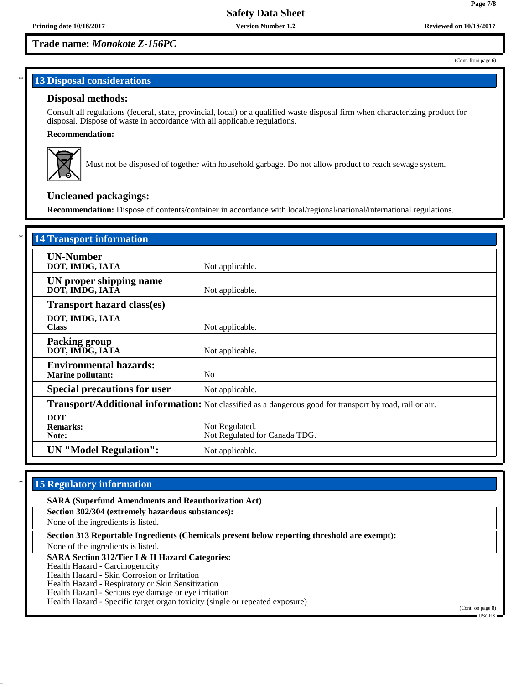# **Trade name:** *Monokote Z-156PC*

### (Cont. from page 6)

**Page 7/8**

# **13 Disposal considerations**

## **Disposal methods:**

Consult all regulations (federal, state, provincial, local) or a qualified waste disposal firm when characterizing product for disposal. Dispose of waste in accordance with all applicable regulations.

# **Recommendation:**



Must not be disposed of together with household garbage. Do not allow product to reach sewage system.

# **Uncleaned packagings:**

**Recommendation:** Dispose of contents/container in accordance with local/regional/national/international regulations.

| <b>14 Transport information</b>                           |                                                                                                          |
|-----------------------------------------------------------|----------------------------------------------------------------------------------------------------------|
| <b>UN-Number</b><br>DOT, IMDG, IATA                       | Not applicable.                                                                                          |
| UN proper shipping name<br>DOT, IMDG, IATA                | Not applicable.                                                                                          |
| <b>Transport hazard class(es)</b>                         |                                                                                                          |
| DOT, IMDG, IATA<br><b>Class</b>                           | Not applicable.                                                                                          |
| <b>Packing group</b><br>DOT, IMDG, IATA                   | Not applicable.                                                                                          |
| <b>Environmental hazards:</b><br><b>Marine pollutant:</b> | N <sub>0</sub>                                                                                           |
| <b>Special precautions for user</b>                       | Not applicable.                                                                                          |
|                                                           | Transport/Additional information: Not classified as a dangerous good for transport by road, rail or air. |
| <b>DOT</b><br><b>Remarks:</b><br>Note:                    | Not Regulated.<br>Not Regulated for Canada TDG.                                                          |
| <b>UN</b> "Model Regulation":                             | Not applicable.                                                                                          |

# **15 Regulatory information**

| <b>SARA (Superfund Amendments and Reauthorization Act)</b>                                   |                   |
|----------------------------------------------------------------------------------------------|-------------------|
| Section 302/304 (extremely hazardous substances):                                            |                   |
| None of the ingredients is listed.                                                           |                   |
| Section 313 Reportable Ingredients (Chemicals present below reporting threshold are exempt): |                   |
| None of the ingredients is listed.                                                           |                   |
| <b>SARA Section 312/Tier I &amp; II Hazard Categories:</b>                                   |                   |
| Health Hazard - Carcinogenicity                                                              |                   |
| Health Hazard - Skin Corrosion or Irritation                                                 |                   |
| Health Hazard - Respiratory or Skin Sensitization                                            |                   |
| Health Hazard - Serious eye damage or eye irritation                                         |                   |
| Health Hazard - Specific target organ toxicity (single or repeated exposure)                 |                   |
|                                                                                              | (Cont. on page 8) |
|                                                                                              | ■ USGHS ■         |